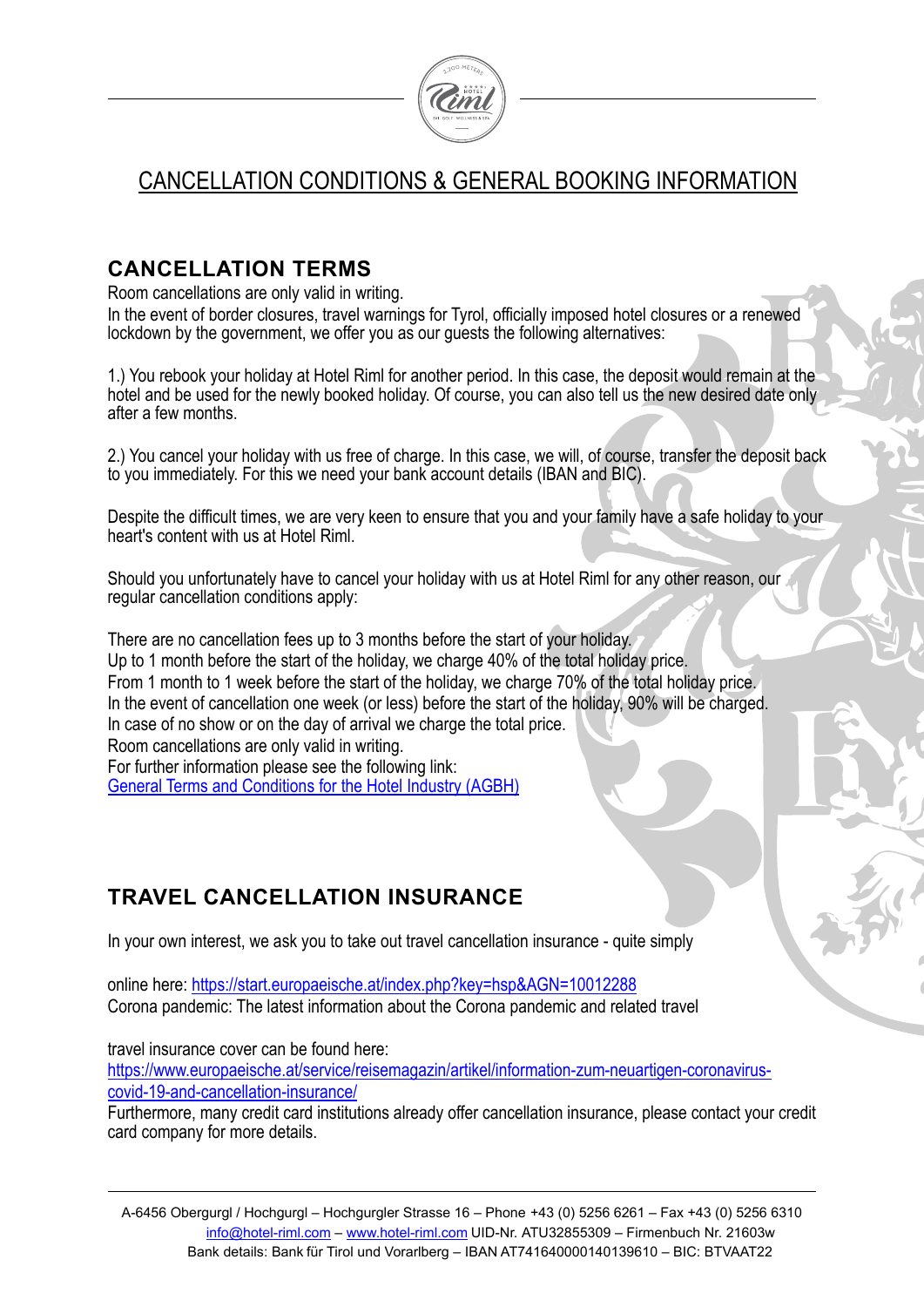

# CANCELLATION CONDITIONS & GENERAL BOOKING INFORMATION

# **CANCELLATION TERMS**

Room cancellations are only valid in writing.

In the event of border closures, travel warnings for Tyrol, officially imposed hotel closures or a renewed lockdown by the government, we offer you as our guests the following alternatives:

1.) You rebook your holiday at Hotel Riml for another period. In this case, the deposit would remain at the hotel and be used for the newly booked holiday. Of course, you can also tell us the new desired date only after a few months.

2.) You cancel your holiday with us free of charge. In this case, we will, of course, transfer the deposit back to you immediately. For this we need your bank account details (IBAN and BIC).

Despite the difficult times, we are very keen to ensure that you and your family have a safe holiday to your heart's content with us at Hotel Riml.

Should you unfortunately have to cancel your holiday with us at Hotel Riml for any other reason, our regular cancellation conditions apply:

There are no cancellation fees up to 3 months before the start of your holiday. Up to 1 month before the start of the holiday, we charge 40% of the total holiday price. From 1 month to 1 week before the start of the holiday, we charge 70% of the total holiday price. In the event of cancellation one week (or less) before the start of the holiday, 90% will be charged. In case of no show or on the day of arrival we charge the total price. Room cancellations are only valid in writing. For further information please see the following link: General Terms and Conditions for the Hotel Industry (AGBH)

# **TRAVEL CANCELLATION INSURANCE**

In your own interest, we ask you to take out travel cancellation insurance - quite simply

online here: https://start.europaeische.at/index.php?key=hsp&AGN=10012288 Corona pandemic: The latest information about the Corona pandemic and related travel

travel insurance cover can be found here:

https://www.europaeische.at/service/reisemagazin/artikel/information-zum-neuartigen-coronaviruscovid-19-and-cancellation-insurance/

Furthermore, many credit card institutions already offer cancellation insurance, please contact your credit card company for more details.

A-6456 Obergurgl / Hochgurgl – Hochgurgler Strasse 16 – Phone +43 (0) 5256 6261 – Fax +43 (0) 5256 6310 info@hotel-riml.com – www.hotel-riml.com UID-Nr. ATU32855309 – Firmenbuch Nr. 21603w Bank details: Bank für Tirol und Vorarlberg – IBAN AT741640000140139610 – BIC: BTVAAT22